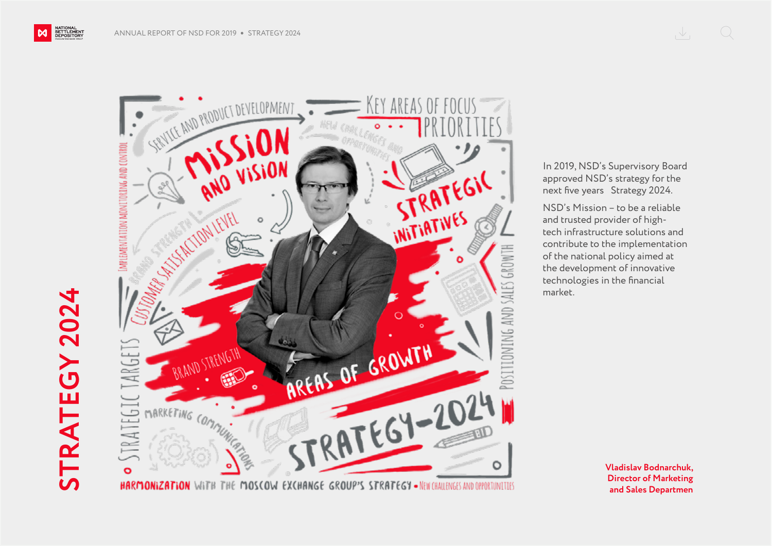NATIONAL<br>SETTLEMENT<br>DEPOSITORY

M



In 2019, NSD's Supervisory Board approved NSD's strategy for the next five years Strategy 2024.

NSD's Mission – to be a reliable and trusted provider of hightech infrastructure solutions and contribute to the implementation of the national policy aimed at the development of innovative technologies in the financial market.

> **Vladislav Bodnarchuk, Director of Marketing and Sales Departmen**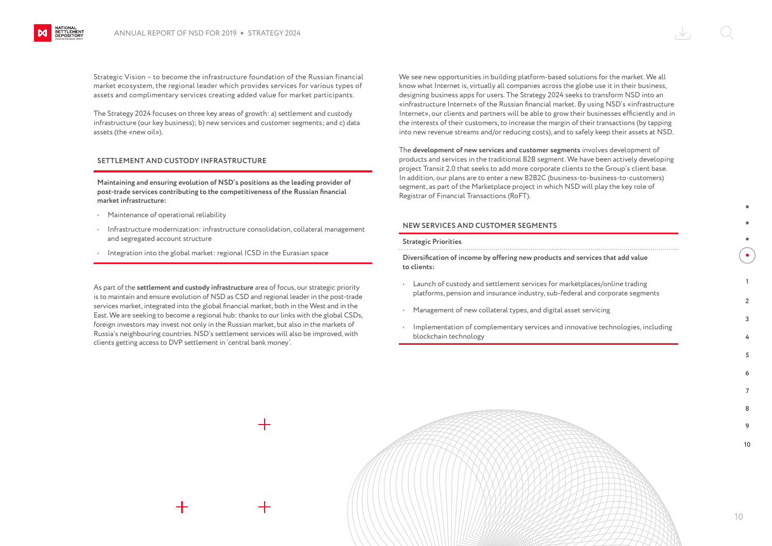Strategic Vision – to become the infrastructure foundation of the Russian financial market ecosystem, the regional leader which provides services for various types of assets and complimentary services creating added value for market participants.

The Strategy 2024 focuses on three key areas of growth: a) settlement and custody infrastructure (our key business); b) new services and customer segments; and c) data assets (the «new oil»).

## **SETTLEMENT AND CUSTODY INFRASTRUCTURE**

**Maintaining and ensuring evolution of NSD's positions as the leading provider of post-trade services contributing to the competitiveness of the Russian financial market infrastructure:**

- Maintenance of operational reliability
- Infrastructure modernization: infrastructure consolidation, collateral management and segregated account structure
- Integration into the global market: regional ICSD in the Eurasian space

As part of the **settlement and custody infrastructure** area of focus, our strategic priority is to maintain and ensure evolution of NSD as CSD and regional leader in the post-trade services market, integrated into the global financial market, both in the West and in the East. We are seeking to become a regional hub: thanks to our links with the global CSDs, foreign investors may invest not only in the Russian market, but also in the markets of Russia's neighbouring countries. NSD's settlement services will also be improved, with clients getting access to DVP settlement in 'central bank money'.

We see new opportunities in building platform-based solutions for the market. We all know what Internet is, virtually all companies across the globe use it in their business, designing business apps for users. The Strategy 2024 seeks to transform NSD into an «infrastructure Internet» of the Russian financial market. By using NSD's «infrastructure Internet», our clients and partners will be able to grow their businesses efficiently and in the interests of their customers, to increase the margin of their transactions (by tapping into new revenue streams and/or reducing costs), and to safely keep their assets at NSD.

The **development of new services and customer segments** involves development of products and services in the traditional B2B segment. We have been actively developing project Transit 2.0 that seeks to add more corporate clients to the Group's client base. In addition, our plans are to enter a new B2B2C (business-to-business-to-customers) segment, as part of the Marketplace project in which NSD will play the key role of Registrar of Financial Transactions (RoFT).

## **NEW SERVICES AND CUSTOMER SEGMENTS**

## **Strategic Priorities**

**Diversification of income by offering new products and services that add value to clients:**

- Launch of custody and settlement services for marketplaces/online trading platforms, pension and insurance industry, sub-federal and corporate segments
- Management of new collateral types, and digital asset servicing
- Implementation of complementary services and innovative technologies, including blockchain technology



1  $\mathcal{L}$ 3

10